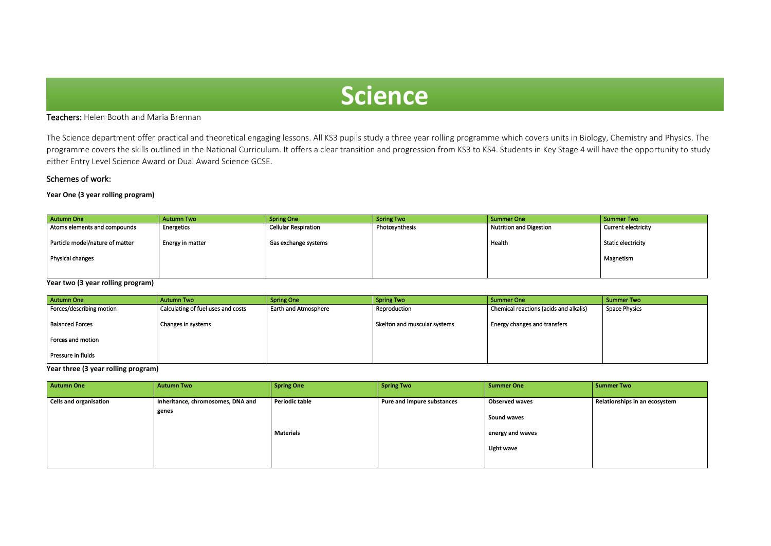# Teachers: Helen Booth and Maria Brennan

The Science department offer practical and theoretical engaging lessons. All KS3 pupils study a three year rolling programme which covers units in Biology, Chemistry and Physics. The programme covers the skills outlined in the National Curriculum. It offers a clear transition and progression from KS3 to KS4. Students in Key Stage 4 will have the opportunity to study either Entry Level Science Award or Dual Award Science GCSE.

# Schemes of work:

i

# **Year One (3 year rolling program)**

**Year two (3 year rolling program)**

| Autumn One               | Autumn Two                         | <b>Spring One</b>           | Spring Two                   | <b>Summer One</b>                      | Summer Two    |
|--------------------------|------------------------------------|-----------------------------|------------------------------|----------------------------------------|---------------|
| Forces/describing motion | Calculating of fuel uses and costs | <b>Earth and Atmosphere</b> | Reproduction                 | Chemical reactions (acids and alkalis) | Space Physics |
| <b>Balanced Forces</b>   | Changes in systems                 |                             | Skelton and muscular systems | Energy changes and transfers           |               |
| Forces and motion        |                                    |                             |                              |                                        |               |
| Pressure in fluids       |                                    |                             |                              |                                        |               |

**Year three (3 year rolling program)**

| <b>Autumn One</b>             | <b>Autumn Two</b>                          | <b>Spring One</b>                         | Spring Two                 | <b>Summer One</b>                                                                    | <b>Summer Two</b>             |
|-------------------------------|--------------------------------------------|-------------------------------------------|----------------------------|--------------------------------------------------------------------------------------|-------------------------------|
| <b>Cells and organisation</b> | Inheritance, chromosomes, DNA and<br>genes | <b>Periodic table</b><br><b>Materials</b> | Pure and impure substances | <b>Observed waves</b><br><b>Sound waves</b><br>energy and waves<br><b>Light wave</b> | Relationships in an ecosystem |

| Autumn One                      | <b>Autumn Two</b> | <b>Spring One</b>    | <b>Spring Two</b>           | Summer One                     | Summer Two          |
|---------------------------------|-------------------|----------------------|-----------------------------|--------------------------------|---------------------|
| Atoms elements and compounds    | Energetics        | Cellular Respiration | <sup>1</sup> Photosynthesis | <b>Nutrition and Digestion</b> | Current electricity |
| Particle model/nature of matter | Energy in matter  | Gas exchange systems |                             | Health                         | Static electricity  |
| Physical changes                |                   |                      |                             |                                | Magnetism           |
|                                 |                   |                      |                             |                                |                     |

# **Science**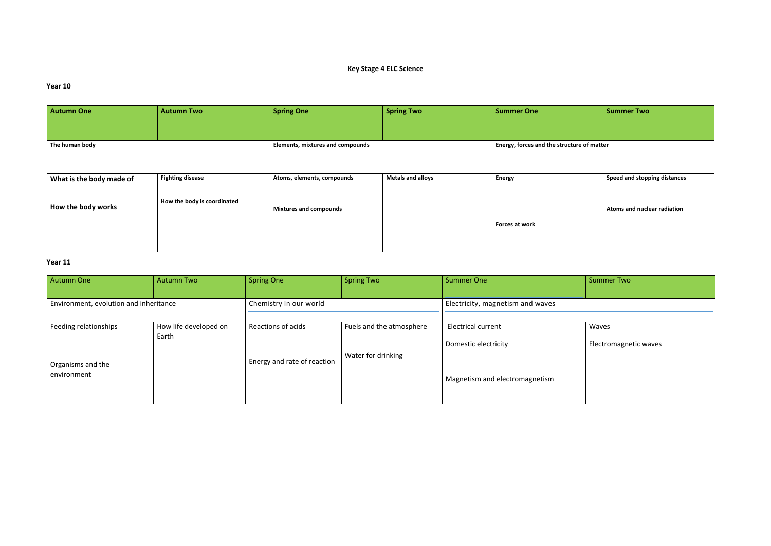# **Key Stage 4 ELC Science**

### **Year 10**

### **Year 11**

| <b>Autumn One</b>        | <b>Autumn Two</b>           | <b>Spring One</b>                       | <b>Spring Two</b>        | <b>Summer One</b>                          | <b>Summer Two</b> |
|--------------------------|-----------------------------|-----------------------------------------|--------------------------|--------------------------------------------|-------------------|
|                          |                             |                                         |                          |                                            |                   |
| The human body           |                             | <b>Elements, mixtures and compounds</b> |                          | Energy, forces and the structure of matter |                   |
|                          |                             |                                         |                          |                                            |                   |
| What is the body made of | <b>Fighting disease</b>     | Atoms, elements, compounds              | <b>Metals and alloys</b> | <b>Energy</b>                              | Speed and stopp   |
| How the body works       | How the body is coordinated | <b>Mixtures and compounds</b>           |                          |                                            | Atoms and nucle   |
|                          |                             |                                         |                          | Forces at work                             |                   |
|                          |                             |                                         |                          |                                            |                   |

|           | <b>Summer Two</b>            |
|-----------|------------------------------|
| of matter |                              |
|           |                              |
|           | Speed and stopping distances |
|           | Atoms and nuclear radiation  |
|           |                              |

| <b>Autumn One</b>                                         | <b>Autumn Two</b>              | <b>Spring One</b>                                 | <b>Spring Two</b>                              | <b>Summer One</b>                                                                   | <b>Summer Two</b>     |
|-----------------------------------------------------------|--------------------------------|---------------------------------------------------|------------------------------------------------|-------------------------------------------------------------------------------------|-----------------------|
| Environment, evolution and inheritance                    |                                | Chemistry in our world                            |                                                | Electricity, magnetism and waves                                                    |                       |
| Feeding relationships<br>Organisms and the<br>environment | How life developed on<br>Earth | Reactions of acids<br>Energy and rate of reaction | Fuels and the atmosphere<br>Water for drinking | <b>Electrical current</b><br>Domestic electricity<br>Magnetism and electromagnetism | Waves<br>Electromagne |

### Waves

Electromagnetic waves